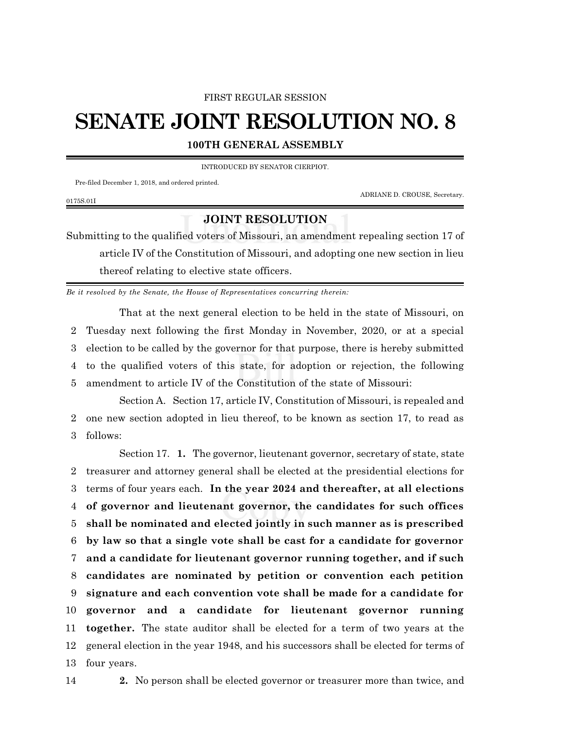## FIRST REGULAR SESSION

## **SENATE JOINT RESOLUTION NO. 8**

**100TH GENERAL ASSEMBLY**

INTRODUCED BY SENATOR CIERPIOT.

Pre-filed December 1, 2018, and ordered printed.

ADRIANE D. CROUSE, Secretary.

## 0175S.01I

## **JOINT RESOLUTION**

Submitting to the qualified voters of Missouri, an amendment repealing section 17 of article IV of the Constitution of Missouri, and adopting one new section in lieu thereof relating to elective state officers.

*Be it resolved by the Senate, the House of Representatives concurring therein:*

That at the next general election to be held in the state of Missouri, on Tuesday next following the first Monday in November, 2020, or at a special election to be called by the governor for that purpose, there is hereby submitted to the qualified voters of this state, for adoption or rejection, the following amendment to article IV of the Constitution of the state of Missouri:

Section A. Section 17, article IV, Constitution of Missouri, is repealed and 2 one new section adopted in lieu thereof, to be known as section 17, to read as 3 follows:

Section 17. **1.** The governor, lieutenant governor, secretary of state, state treasurer and attorney general shall be elected at the presidential elections for terms of four years each. **In the year 2024 and thereafter, at all elections of governor and lieutenant governor, the candidates for such offices shall be nominated and elected jointly in such manner as is prescribed by law so that a single vote shall be cast for a candidate for governor and a candidate for lieutenant governor running together, and if such candidates are nominated by petition or convention each petition signature and each convention vote shall be made for a candidate for governor and a candidate for lieutenant governor running together.** The state auditor shall be elected for a term of two years at the general election in the year 1948, and his successors shall be elected for terms of four years.

14 **2.** No person shall be elected governor or treasurer more than twice, and